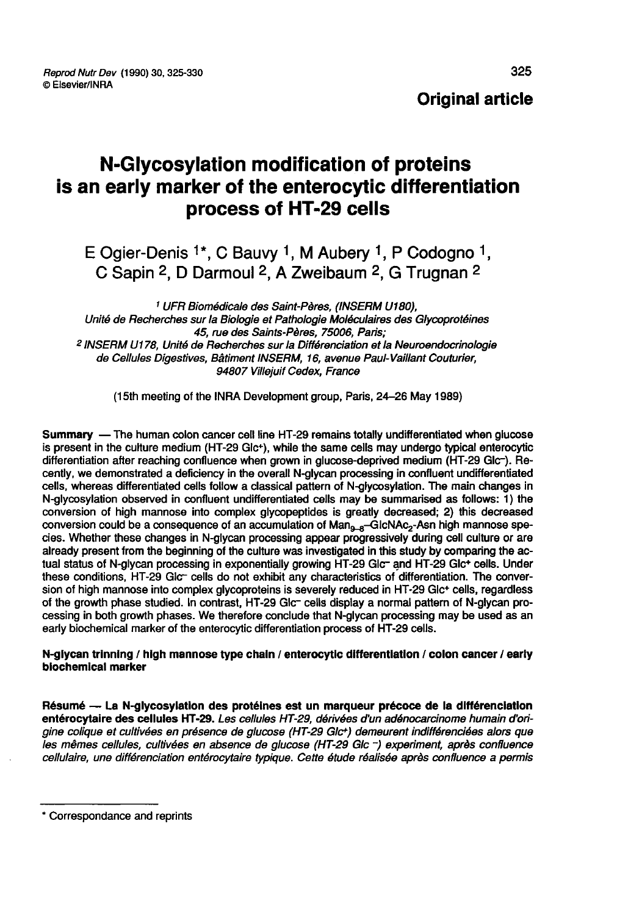# N-Glycosylation modification of proteins is an early marker of the enterocytic differentiation process of HT-29 cells **N-Glycosylation modification of proteins**<br>in early marker of the enterocytic differenti<br>process of HT-29 cells<br>E Ogier-Denis <sup>1\*</sup>, C Bauvy <sup>1</sup>, M Aubery <sup>1</sup>, P Codogno<br>C Sapin <sup>2</sup>, D Darmoul <sup>2</sup>, A Zweibaum <sup>2</sup>, G Trugnan

<sup>1</sup> UFR Biomédicale des Saint-Pères, (INSERM U180), Unité de Recherches sur la Biologie et Pathologie Moléculaires des Glycoprotéines <sup>2</sup> INSERM U178, Unité de Recherches sur la Différenciation et la Neuroendocrinologie de Cellules Digestives, Bâtiment INSERM, 16, avenue Paul-Vaillant Couturier, 94807 Villejuif Cedex, France

(l5th meeting of the INRA Development group, Paris, 24-26 May 1989)

Summary ― The human colon cancer cell line HT-29 remains totally undifferentiated when glucose is present in the culture medium (HT-29 Glc+), while the same cells may undergo typical enterocytic differentiation after reaching confluence when grown in glucose-deprived medium (HT-29 Glc-). Recently, we demonstrated a deficiency in the overall N-glycan processing in confluent undifferentiated cells, whereas differentiated cells follow a classical pattern of N-glycosylation. The main changes in N-glycosylation observed in confluent undifferentiated cells may be summarised as follows: 1) the conversion of high mannose into complex glycopeptides is greatly decreased; 2) this decreased conversion could be a consequence of an accumulation of  $Man_{g-d}$ -GIcNAc<sub>2</sub>-Asn high mannose species. Whether these changes in N-glycan processing appear progressively during cell culture or are already present from the beginning of the culture was investigated in this study by comparing the ac-<br>tual status of N-glycan processing in exponentially growing HT-29 Glc- and HT-29 Glc+ cells. Under these conditions, HT-29 Glc- cells do not exhibit any characteristics of differentiation. The conversion of high mannose into complex glycoproteins is severely reduced in HT-29 Glc+ cells, regardless of the growth phase studied. In contrast, HT-29 Glc- cells display a normal pattern of N-glycan processing in both growth phases. We therefore conclude that N-glycan processing may be used as an early biochemical marker of the enterocytic differentiation process of HT-29 cells.

#### N-glycan trinning / high mannose type chain / enterocytic differentiation / colon cancer / early biochemical marker

Résumé ― La N-glycosylation des protéines est un marqueur précoce de la différenciation entérocytaire des cellules HT-29. Les cellules HT-29, dérivées d'un adénocarcinome humain d'origine colique et cultivées en présence de glucose (HT 29 Glc·) demeurent indifférenciées alors que les mêmes cellules, cultivées en absence de glucose (HT-29 Glc -) experiment, après confluence . cellulaire, une différenciation entérocytaire typique. Cette étude réalisée après confluence a permis

<sup>\*</sup> Correspondance and reprints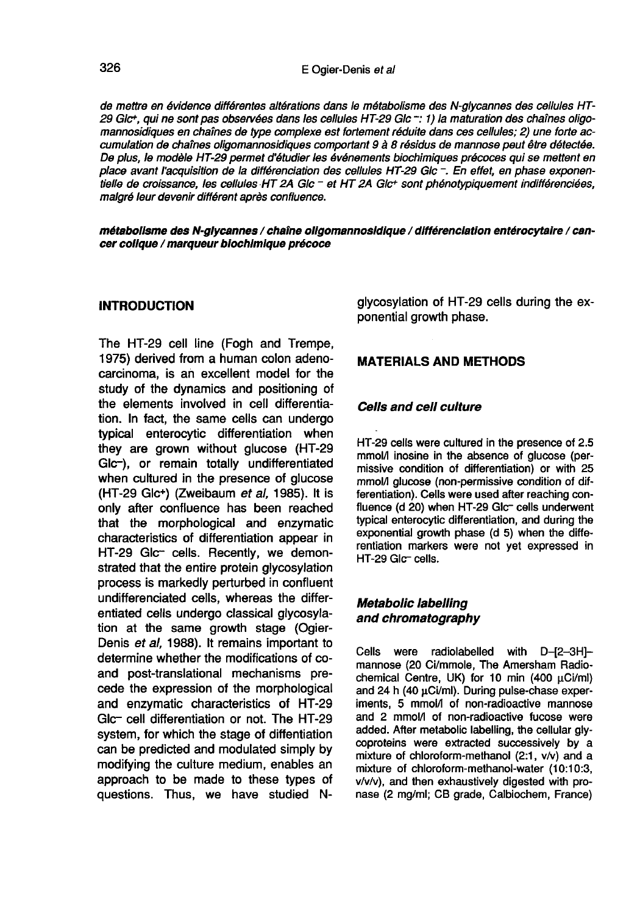de mettre en évidence différentes altérations dans le métabolisme des N-glycannes des cellules HT 29 Glc<sup>+</sup>, qui ne sont pas observées dans les cellules HT-29 Glc -: 1) la maturation des chaînes oligomannosidiques en chaînes de type complexe est fortement réduite dans ces cellules; 2) une forte accumulation de chaînes oligomannosidiques comportant 9 à 8 résidus de mannose peut être détectée. De plus, le modèle HT 29 permet d'étudier les événements biochimiques précoces qui se mettent en place avant l'acquisition de la différenciation des cellules HT 29 Glc -. En effet, en phase exponentielle de croissance, les cellules HT 2A Glc - et HT 2A Glc+ sont phénotypiquement indifférenciées, malgré leur devenir différent après confluence.

métabolisme des N-glycannes / chaine ollgomannosldlque / différenciation entérocytaire / cancer colique / marqueur biochimique précoce

#### **INTRODUCTION**

The HT-29 cell line (Fogh and Trempe, 1975) derived from a human colon adenocarcinoma, is an excellent model for the study of the dynamics and positioning of the elements involved in cell differentiation. In fact, the same cells can undergo typical enterocytic differentiation when they are grown without glucose (HT-29 Glc-), or remain totally undifferentiated when cultured in the presence of glucose (HT-29 Glc+) (Zweibaum et al, 1985). It is only after confluence has been reached that the morphological and enzymatic characteristics of differentiation appear in HT-29 Glc- cells. Recently, we demonstrated that the entire protein glycosylation process is markedly perturbed in confluent undifferenciated cells, whereas the differentiated cells undergo classical glycosylation at the same growth stage (Ogier-Denis et al, 1988). It remains important to determine whether the modifications of coand post-translational mechanisms precede the expression of the morphological and enzymatic characteristics of HT-29 Glc- cell differentiation or not. The HT-29 system, for which the stage of diffentiation can be predicted and modulated simply by modifying the culture medium, enables an approach to be made to these types of questions. Thus, we have studied N-

glycosylation of HT-29 cells during the exponential growth phase.

#### MATERIALS AND METHODS

#### Cells and cell culture

HT-29 cells were cultured in the presence of 2.5 mmolA inosine in the absence of glucose (permissive condition of differentiation) or with 25 mmol/l glucose (non-permissive condition of differentiation). Cells were used after reaching confluence (d 20) when HT-29 Glc- cells underwent typical enterocytic differentiation, and during the exponential growth phase (d 5) when the differentiation markers were not yet expressed in HT-29 Glc- cells.

#### Metabolic labelling and chromatography

Cells were radiolabelled with D-[2-3H]-<br>mannose (20 Ci/mmole, The Amersham Radio-<br>chemical Centre, UK) for 10 min (400 µCi/ml)<br>and 24 h (40 µCi/ml). During pulse-chase expermannose (20 Ci/mmole, The Amersham Radio-<br>chemical Centre, UK) for 10 min (400 µCi/ml) and 24 h (40 µCi/ml). During pulse-chase experiments, 5 mmol/l of non-radioactive mannose and 2 mmol/l of non-radioactive fucose were added. After metabolic labelling, the cellular glycoproteins were extracted successively by a mixture of chloroform-methanol (2:1, v/v) and a mixture of chloroform-methanol-water (10:10:3,  $v/v/v$ ), and then exhaustively digested with pronase (2 mg/ml; CB grade, Calbiochem, France)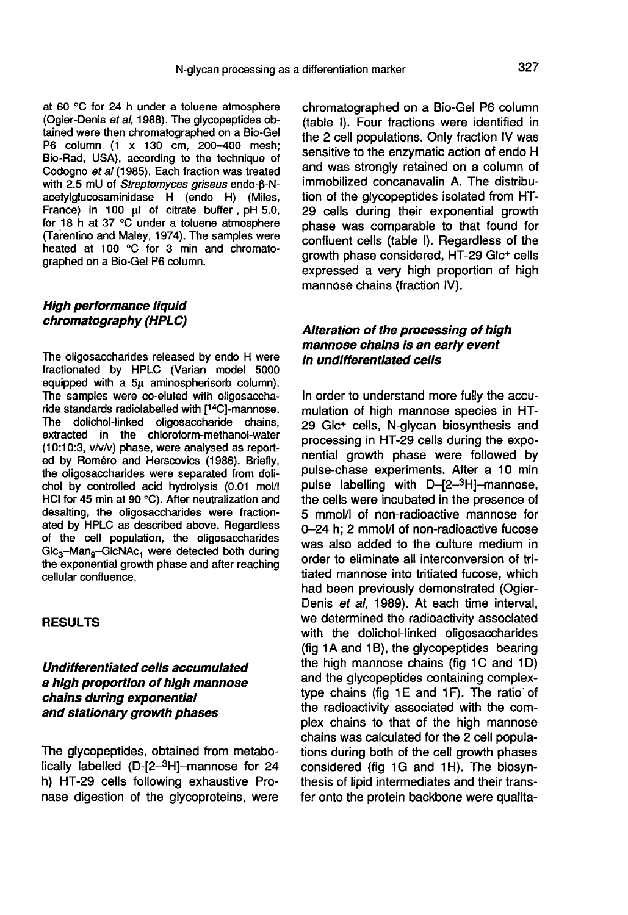at 60 °C for 24 h under a toluene atmosphere (Ogier-Denis et al, 1988). The glycopeptides obtained were then chromatographed on a Bio-Gel P6 column (1 x 130 cm, 200-400 mesh; Bio-Rad, USA), according to the technique of Codogno et al (1985). Each fraction was treated with 2.5 mU of Streptomyces griseus endo-B-Nacetylglucosaminidase H (endo H) (Miles, France) in 100  $\mu$ l of citrate buffer, pH 5.0, for 18 h at 37 °C under a toluene atmosphere (Tarentino and Maley, 1974). The samples were heated at 100 °C for 3 min and chromatographed on a Bio-Gel P6 column.

# High performance liquid chromatography (HPLC)

The oligosaccharides released by endo H were fractionated by HPLC (Varian model 5000 equipped with a 5µ aminospherisorb column). The samples were co-eluted with oligosaccharide standards radiolabelled with  $[14C]$ -mannose. The dolichol-linked oligosaccharide chains, extracted in the chloroform-methanol-water (10:10:3, v/v/v) phase, were analysed as reported by Roméro and Herscovics (1986). Briefly, the oligosaccharides were separated from dolichol by controlled acid hydrolysis (0.01 mol/I HCI for 45 min at 90 °C). After neutralization and desalting, the oligosaccharides were fractionated by HPLC as described above. Regardless of the cell population, the oligosaccharides Glc<sub>3</sub>-Man<sub>9</sub>-GlcNAc<sub>1</sub> were detected both during the exponential growth phase and after reaching cellular confluence.

#### RESULTS

# Undifferentiated cells accumulated a high proportion of high mannose chains during exponential and stationary growth phases

The glycopeptides, obtained from metabo-<br>lically labelled (D- $[2-3H]$ -mannose for 24 **Undifferentiated cells accumulated<br>a high proportion of high mannose<br>chains during exponential<br>and stationary growth phases<br>The glycopeptides, obtained from metabo-<br>lically labelled (D-[2-<sup>3</sup>H]-mannose for 24<br>h) HT-29 cel** h) HT-29 cells following exhaustive Pronase digestion of the glycoproteins, were chromatographed on a Bio-Gel P6 column (table I). Four fractions were identified in the 2 cell populations. Only fraction IV was sensitive to the enzymatic action of endo H and was strongly retained on a column of immobilized concanavalin A. The distribution of the glycopeptides isolated from HT-29 cells during their exponential growth phase was comparable to that found for confluent cells (table I). Regardless of the growth phase considered, HT-29 Glc +cells expressed a very high proportion of high mannose chains (fraction IV).

# Alteration of the processing of high mannose chains is an early event in undifferentiated cells

In order to understand more fully the accumulation of high mannose species in HT-29 Glc+ cells, N-glycan biosynthesis and processing in HT-29 cells during the exponential growth phase were followed by pulse-chase experiments. After a 10 min<br>pulse labelling with D-[2-<sup>3</sup>H]-mannose. mannose chains is an early event<br>in undifferentiated cells<br>In order to understand more fully the accu-<br>mulation of high mannose species in HT-<br>29 Glc<sup>+</sup> cells, N-glycan biosynthesis and<br>processing in HT-29 cells during th the cells were incubated in the presence of 5 mmol/I of non-radioactive mannose for 0-24 h; 2 mmol/I of non-radioactive fucose was also added to the culture medium in order to eliminate all interconversion of tritiated mannose into tritiated fucose, which had been previously demonstrated (Ogier-Denis et al, 1989). At each time interval, we determined the radioactivity associated with the dolichol-linked oligosaccharides (fig 1A and 1B), the glycopeptides bearing the high mannose chains (fig 1C and 1D) and the glycopeptides containing complextype chains (fig  $1E$  and  $1F$ ). The ratio of the radioactivity associated with the complex chains to that of the high mannose chains was calculated for the 2 cell populations during both of the cell growth phases considered (fig 1G and 1H). The biosynthesis of lipid intermediates and their transfer onto the protein backbone were qualita-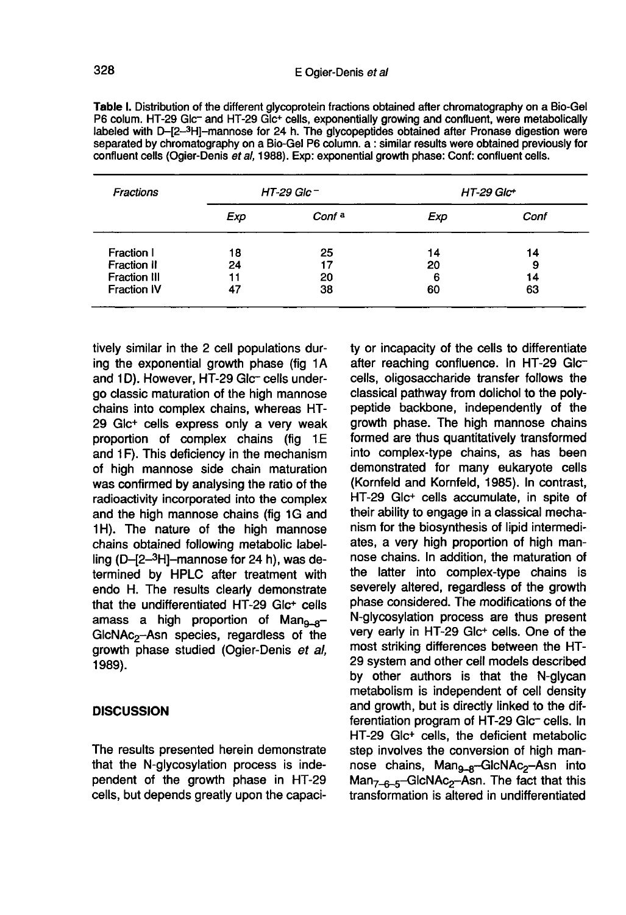| Fractions          | HT-29 Glc $-$ |                   | $HT-29~Glc+$ |      |
|--------------------|---------------|-------------------|--------------|------|
|                    | Exp           | Conf <sup>a</sup> | Exp          | Conf |
| Fraction I         | 18            | 25                | 14           | 14   |
| Fraction II        | 24            | 17                | 20           | 9    |
| Fraction III       | 11            | 20                | 6            | 14   |
| <b>Fraction IV</b> |               | 38                | 60           | 63   |

Table I. Distribution of the different glycoprotein fractions obtained after chromatography on a Bio-Gel P6 colum. HT-29 Glc<sup>-</sup> and HT-29 Glc<sup>+</sup> cells, exponentially growing and confluent, were metabolically labeled with D-[2-3H]-mannose for 24 h. The glycopeptides obtained after Pronase digestion were separated by chromatography on a Bio-Gel P6 column. a : similar results were obtained previously for confluent cells (Ogier-Denis et al, 1988). Exp: exponential growth phase: Conf: confluent cells.

tively similar in the 2 cell populations during the exponential growth phase (fig 1A and 1D). However, HT-29 Glc- cells undergo classic maturation of the high mannose chains into complex chains, whereas HT-29 Glc+ cells express only a very weak proportion of complex chains (fig 1E and 1F). This deficiency in the mechanism of high mannose side chain maturation was confirmed by analysing the ratio of the radioactivity incorporated into the complex and the high mannose chains (fig 1G and 1H). The nature of the high mannose chains obtained following metabolic label-<br> $\lim_{\text{cm}}$  (D-[2-3H]-mannose for 24 h), was de-29 Glc<sup>+</sup> cells express only a very weak<br>proportion of complex chains (fig 1E<br>and 1F). This deficiency in the mechanism<br>of high mannose side chain maturation<br>was confirmed by analysing the ratio of the<br>radioactivity incorp termined by HPLC after treatment with endo H. The results clearly demonstrate that the undifferentiated HT-29 Glc+ cells amass a high proportion of  $Man_{9-8}$ -GlcNAc<sub>2</sub>-Asn species, regardless of the chains obtained following metabolic label-<br>ling (D-[2-3H]-mannose for 24 h), was de-<br>termined by HPLC after treatment with<br>endo H. The results clearly demonstrate<br>that the undifferentiated HT-29 Glc<sup>+</sup> cells<br>amass a high growth phase studied (Ogier-Denis et al, 1989).

#### **DISCUSSION**

The results presented herein demonstrate that the N-glycosylation process is independent of the growth phase in HT-29 cells, but depends greatly upon the capaci-

ty or incapacity of the cells to differentiate after reaching confluence. In HT-29 Glccells, oligosaccharide transfer follows the classical pathway from dolichol to the polypeptide backbone, independently of the growth phase. The high mannose chains formed are thus quantitatively transformed into complex-type chains, as has been demonstrated for many eukaryote cells (Kornfeld and Kornfeld, 1985). In contrast, HT-29 Glc+ cells accumulate, in spite of their ability to engage in a classical mechanism for the biosynthesis of lipid intermediates, a very high proportion of high mannose chains. In addition, the maturation of the latter into complex-type chains is severely altered, regardless of the growth phase considered. The modifications of the N-glycosylation process are thus present very early in HT-29 Glc+ cells. One of the most striking differences between the HT-29 system and other cell models described by other authors is that the N-glycan metabolism is independent of cell density and growth, but is directly linked to the differentiation program of HT-29 Glc- cells. In HT-29 Glc + cells, the deficient metabolic step involves the conversion of high man-<br>nose chains, Man<sub>9-8</sub>-GlcNAc<sub>2</sub>-Asn into N-glycosylation process are thus present<br>very early in HT-29 Glc<sup>+</sup> cells. One of the<br>most striking differences between the HT-<br>29 system and other cell models described<br>by other authors is that the N-glycan<br>metabolism is N-glycosylation process are thus present<br>very early in HT-29 Glc<sup>+</sup> cells. One of the<br>most striking differences between the HT-<br>29 system and other cell models described<br>by other authors is that the N-glycan<br>metabolism is transformation is altered in undifferentiated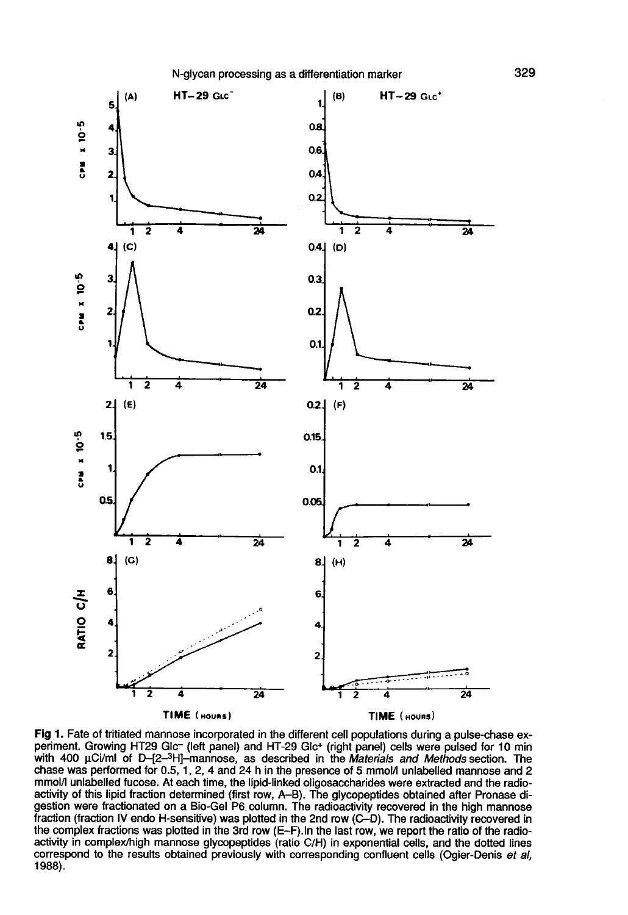

Fig 1. Fate of tritiated mannose incorporated in the different cell populations during a pulse-chase experiment. Growing HT29 Glc- (left panel) and HT-29 Glc+ (right panel) cells were pulsed for 10 min with 400 uCi/ml of D-[2-3H]-mannose, as described in the Materials and Methods section. The chase was performed for 0.5, 1, 2, 4 and 24 h in the presence of 5 mmol/l unlabelled mannose and 2 mmol/l unlabelled fucose. At each time, the lipid-linked oligosaccharides were extracted and the radioactivity of this lipid fraction determined (first row, A-B). The glycopeptides obtained after Pronase digestion were fractionated on a Bio-Gel P6 column. The radioactivity recovered in the high mannose fraction (fraction IV endo H-sensitive) was plotted in the 2nd row (C-D). The radioactivity recovered in the complex fractions was plotted in the 3rd row (E-F). In the last row, we report the ratio of the radioactivity in complex/high mannose glycopeptides (ratio C/H) in exponential cells, and the dotted lines correspond to the results obtained previously with corresponding confluent cells (Ogier-Denis et al. 1988).